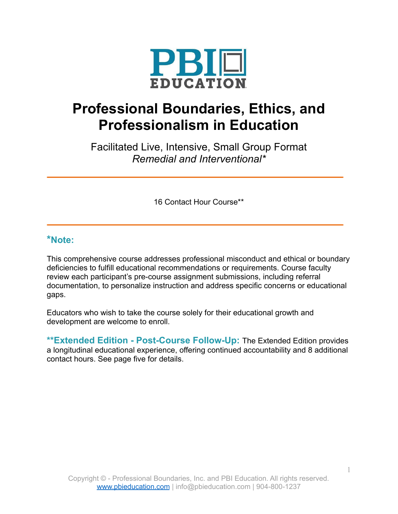

# **Professional Boundaries, Ethics, and Professionalism in Education**

Facilitated Live, Intensive, Small Group Format *Remedial and Interventional\**

16 Contact Hour Course\*\*

# **\*Note:**

This comprehensive course addresses professional misconduct and ethical or boundary deficiencies to fulfill educational recommendations or requirements. Course faculty review each participant's pre-course assignment submissions, including referral documentation, to personalize instruction and address specific concerns or educational gaps.

Educators who wish to take the course solely for their educational growth and development are welcome to enroll.

**\*\*Extended Edition - Post-Course Follow-Up:** The Extended Edition provides a longitudinal educational experience, offering continued accountability and 8 additional contact hours. See page five for details.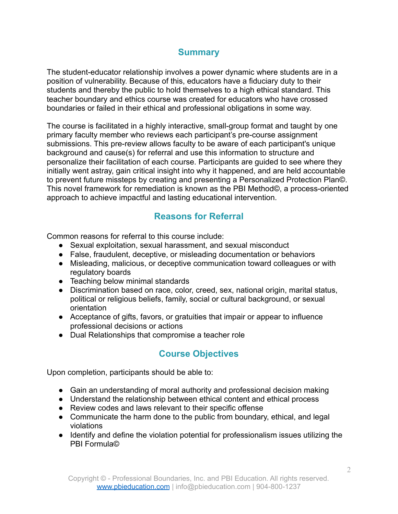# **Summary**

The student-educator relationship involves a power dynamic where students are in a position of vulnerability. Because of this, educators have a fiduciary duty to their students and thereby the public to hold themselves to a high ethical standard. This teacher boundary and ethics course was created for educators who have crossed boundaries or failed in their ethical and professional obligations in some way.

The course is facilitated in a highly interactive, small-group format and taught by one primary faculty member who reviews each participant's pre-course assignment submissions. This pre-review allows faculty to be aware of each participant's unique background and cause(s) for referral and use this information to structure and personalize their facilitation of each course. Participants are guided to see where they initially went astray, gain critical insight into why it happened, and are held accountable to prevent future missteps by creating and presenting a Personalized Protection Plan©. This novel framework for remediation is known as the PBI Method©, a process-oriented approach to achieve impactful and lasting educational intervention.

# **Reasons for Referral**

Common reasons for referral to this course include:

- Sexual exploitation, sexual harassment, and sexual misconduct
- False, fraudulent, deceptive, or misleading documentation or behaviors
- Misleading, malicious, or deceptive communication toward colleagues or with regulatory boards
- Teaching below minimal standards
- Discrimination based on race, color, creed, sex, national origin, marital status, political or religious beliefs, family, social or cultural background, or sexual orientation
- Acceptance of gifts, favors, or gratuities that impair or appear to influence professional decisions or actions
- Dual Relationships that compromise a teacher role

# **Course Objectives**

Upon completion, participants should be able to:

- Gain an understanding of moral authority and professional decision making
- Understand the relationship between ethical content and ethical process
- Review codes and laws relevant to their specific offense
- Communicate the harm done to the public from boundary, ethical, and legal violations
- Identify and define the violation potential for professionalism issues utilizing the PBI Formula©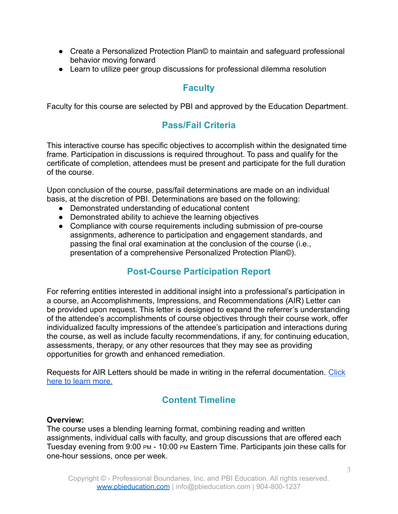- Create a Personalized Protection Plan© to maintain and safeguard professional behavior moving forward
- Learn to utilize peer group discussions for professional dilemma resolution

# **Faculty**

Faculty for this course are selected by PBI and approved by the Education Department.

# **Pass/Fail Criteria**

This interactive course has specific objectives to accomplish within the designated time frame. Participation in discussions is required throughout. To pass and qualify for the certificate of completion, attendees must be present and participate for the full duration of the course.

Upon conclusion of the course, pass/fail determinations are made on an individual basis, at the discretion of PBI. Determinations are based on the following:

- Demonstrated understanding of educational content
- Demonstrated ability to achieve the learning objectives
- Compliance with course requirements including submission of pre-course assignments, adherence to participation and engagement standards, and passing the final oral examination at the conclusion of the course (i.e., presentation of a comprehensive Personalized Protection Plan©).

# **Post-Course Participation Report**

For referring entities interested in additional insight into a professional's participation in a course, an Accomplishments, Impressions, and Recommendations (AIR) Letter can be provided upon request. This letter is designed to expand the referrer's understanding of the attendee's accomplishments of course objectives through their course work, offer individualized faculty impressions of the attendee's participation and interactions during the course, as well as include faculty recommendations, if any, for continuing education, assessments, therapy, or any other resources that they may see as providing opportunities for growth and enhanced remediation.

Requests for AIR Letters should be made in writing in the referral documentation. [Click](https://pbieducation.com/wp-content/uploads/2021/11/AIR-Letter-FAQ-Sheet.pdf) [here to learn more.](https://pbieducation.com/wp-content/uploads/2021/11/AIR-Letter-FAQ-Sheet.pdf)

# **Content Timeline**

#### **Overview:**

The course uses a blending learning format, combining reading and written assignments, individual calls with faculty, and group discussions that are offered each Tuesday evening from 9:00 PM - 10:00 PM Eastern Time. Participants join these calls for one-hour sessions, once per week.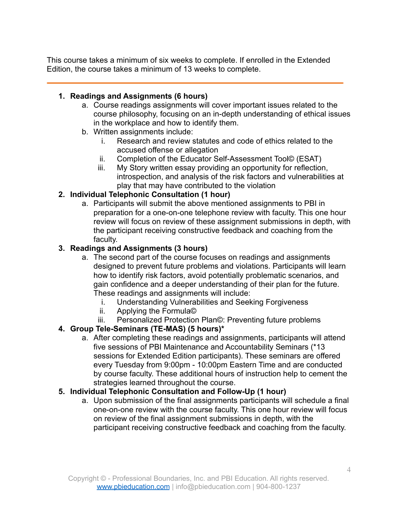This course takes a minimum of six weeks to complete. If enrolled in the Extended Edition, the course takes a minimum of 13 weeks to complete.

## **1. Readings and Assignments (6 hours)**

- a. Course readings assignments will cover important issues related to the course philosophy, focusing on an in-depth understanding of ethical issues in the workplace and how to identify them.
- b. Written assignments include:
	- i. Research and review statutes and code of ethics related to the accused offense or allegation
	- ii. Completion of the Educator Self-Assessment Tool© (ESAT)
	- iii. My Story written essay providing an opportunity for reflection, introspection, and analysis of the risk factors and vulnerabilities at play that may have contributed to the violation

## **2. Individual Telephonic Consultation (1 hour)**

a. Participants will submit the above mentioned assignments to PBI in preparation for a one-on-one telephone review with faculty. This one hour review will focus on review of these assignment submissions in depth, with the participant receiving constructive feedback and coaching from the faculty.

## **3. Readings and Assignments (3 hours)**

- a. The second part of the course focuses on readings and assignments designed to prevent future problems and violations. Participants will learn how to identify risk factors, avoid potentially problematic scenarios, and gain confidence and a deeper understanding of their plan for the future. These readings and assignments will include:
	- i. Understanding Vulnerabilities and Seeking Forgiveness
	- ii. Applying the Formula©
	- iii. Personalized Protection Plan©: Preventing future problems

## **4. Group Tele-Seminars (TE-MAS) (5 hours)\***

a. After completing these readings and assignments, participants will attend five sessions of PBI Maintenance and Accountability Seminars (\*13 sessions for Extended Edition participants). These seminars are offered every Tuesday from 9:00pm - 10:00pm Eastern Time and are conducted by course faculty. These additional hours of instruction help to cement the strategies learned throughout the course.

## **5. Individual Telephonic Consultation and Follow-Up (1 hour)**

a. Upon submission of the final assignments participants will schedule a final one-on-one review with the course faculty. This one hour review will focus on review of the final assignment submissions in depth, with the participant receiving constructive feedback and coaching from the faculty.